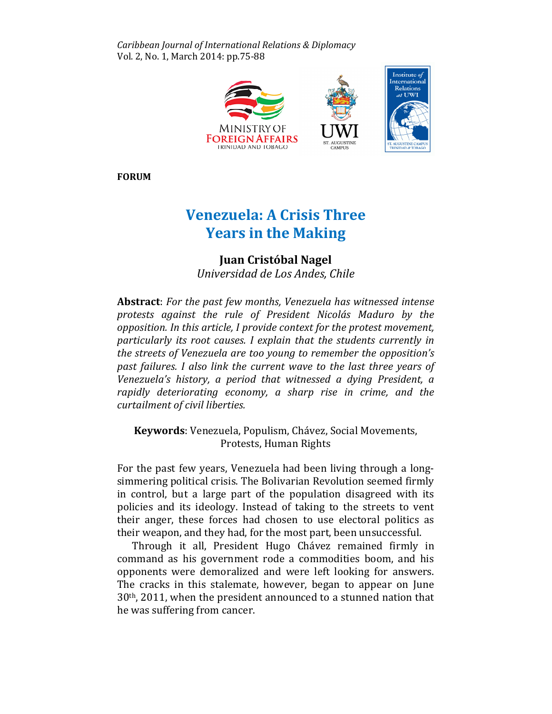Caribbean Journal of International Relations & Diplomacy Vol. 2, No. 1, March 2014: pp.75-88



FORUM

# Venezuela: A Crisis Three Years in the Making

# Juan Cristóbal Nagel

Universidad de Los Andes, Chile

Abstract: For the past few months, Venezuela has witnessed intense protests against the rule of President Nicolás Maduro by the opposition. In this article, I provide context for the protest movement, particularly its root causes. I explain that the students currently in the streets of Venezuela are too young to remember the opposition's past failures. I also link the current wave to the last three years of Venezuela's history, a period that witnessed a dying President, a rapidly deteriorating economy, a sharp rise in crime, and the curtailment of civil liberties.

Keywords: Venezuela, Populism, Chávez, Social Movements, Protests, Human Rights

For the past few years, Venezuela had been living through a longsimmering political crisis. The Bolivarian Revolution seemed firmly in control, but a large part of the population disagreed with its policies and its ideology. Instead of taking to the streets to vent their anger, these forces had chosen to use electoral politics as their weapon, and they had, for the most part, been unsuccessful.

Through it all, President Hugo Chávez remained firmly in command as his government rode a commodities boom, and his opponents were demoralized and were left looking for answers. The cracks in this stalemate, however, began to appear on June 30th, 2011, when the president announced to a stunned nation that he was suffering from cancer.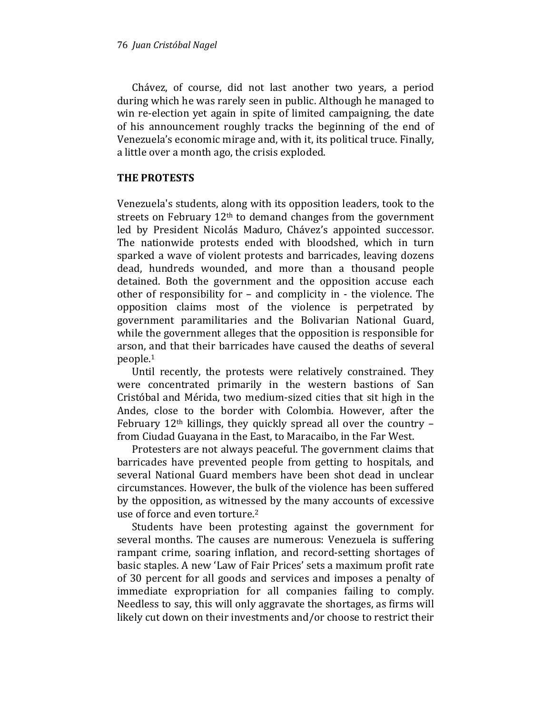Chávez, of course, did not last another two years, a period during which he was rarely seen in public. Although he managed to win re-election yet again in spite of limited campaigning, the date of his announcement roughly tracks the beginning of the end of Venezuela's economic mirage and, with it, its political truce. Finally, a little over a month ago, the crisis exploded.

## THE PROTESTS

Venezuela's students, along with its opposition leaders, took to the streets on February 12th to demand changes from the government led by President Nicolás Maduro, Chávez's appointed successor. The nationwide protests ended with bloodshed, which in turn sparked a wave of violent protests and barricades, leaving dozens dead, hundreds wounded, and more than a thousand people detained. Both the government and the opposition accuse each other of responsibility for – and complicity in - the violence. The opposition claims most of the violence is perpetrated by government paramilitaries and the Bolivarian National Guard, while the government alleges that the opposition is responsible for arson, and that their barricades have caused the deaths of several people.<sup>1</sup>

Until recently, the protests were relatively constrained. They were concentrated primarily in the western bastions of San Cristóbal and Mérida, two medium-sized cities that sit high in the Andes, close to the border with Colombia. However, after the February  $12<sup>th</sup>$  killings, they quickly spread all over the country – from Ciudad Guayana in the East, to Maracaibo, in the Far West.

Protesters are not always peaceful. The government claims that barricades have prevented people from getting to hospitals, and several National Guard members have been shot dead in unclear circumstances. However, the bulk of the violence has been suffered by the opposition, as witnessed by the many accounts of excessive use of force and even torture.<sup>2</sup>

Students have been protesting against the government for several months. The causes are numerous: Venezuela is suffering rampant crime, soaring inflation, and record-setting shortages of basic staples. A new 'Law of Fair Prices' sets a maximum profit rate of 30 percent for all goods and services and imposes a penalty of immediate expropriation for all companies failing to comply. Needless to say, this will only aggravate the shortages, as firms will likely cut down on their investments and/or choose to restrict their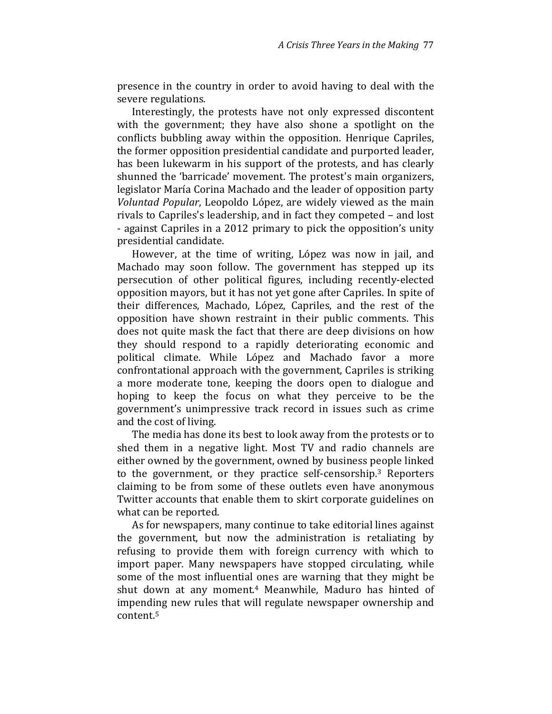presence in the country in order to avoid having to deal with the severe regulations.

Interestingly, the protests have not only expressed discontent with the government; they have also shone a spotlight on the conflicts bubbling away within the opposition. Henrique Capriles, the former opposition presidential candidate and purported leader, has been lukewarm in his support of the protests, and has clearly shunned the 'barricade' movement. The protest's main organizers, legislator María Corina Machado and the leader of opposition party Voluntad Popular, Leopoldo López, are widely viewed as the main rivals to Capriles's leadership, and in fact they competed – and lost - against Capriles in a 2012 primary to pick the opposition's unity presidential candidate.

However, at the time of writing, López was now in jail, and Machado may soon follow. The government has stepped up its persecution of other political figures, including recently-elected opposition mayors, but it has not yet gone after Capriles. In spite of their differences, Machado, López, Capriles, and the rest of the opposition have shown restraint in their public comments. This does not quite mask the fact that there are deep divisions on how they should respond to a rapidly deteriorating economic and political climate. While López and Machado favor a more confrontational approach with the government, Capriles is striking a more moderate tone, keeping the doors open to dialogue and hoping to keep the focus on what they perceive to be the government's unimpressive track record in issues such as crime and the cost of living.

The media has done its best to look away from the protests or to shed them in a negative light. Most TV and radio channels are either owned by the government, owned by business people linked to the government, or they practice self-censorship.3 Reporters claiming to be from some of these outlets even have anonymous Twitter accounts that enable them to skirt corporate guidelines on what can be reported.

As for newspapers, many continue to take editorial lines against the government, but now the administration is retaliating by refusing to provide them with foreign currency with which to import paper. Many newspapers have stopped circulating, while some of the most influential ones are warning that they might be shut down at any moment.4 Meanwhile, Maduro has hinted of impending new rules that will regulate newspaper ownership and content.5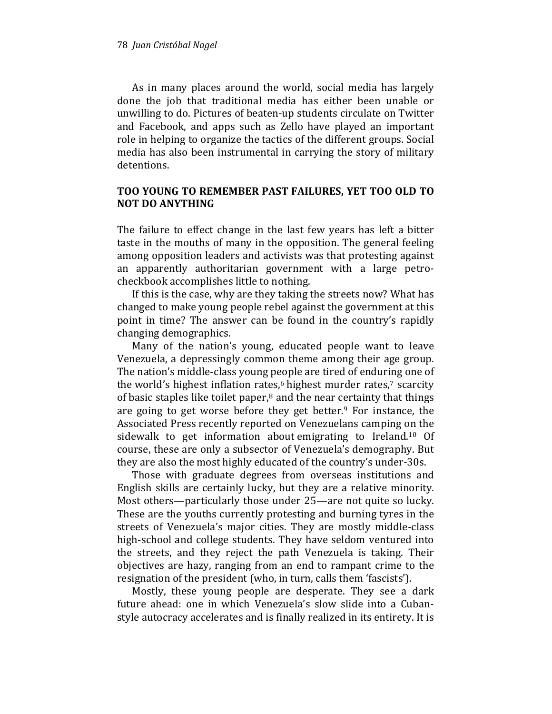As in many places around the world, social media has largely done the job that traditional media has either been unable or unwilling to do. Pictures of beaten-up students circulate on Twitter and Facebook, and apps such as Zello have played an important role in helping to organize the tactics of the different groups. Social media has also been instrumental in carrying the story of military detentions.

#### TOO YOUNG TO REMEMBER PAST FAILURES, YET TOO OLD TO NOT DO ANYTHING

The failure to effect change in the last few years has left a bitter taste in the mouths of many in the opposition. The general feeling among opposition leaders and activists was that protesting against an apparently authoritarian government with a large petrocheckbook accomplishes little to nothing.

If this is the case, why are they taking the streets now? What has changed to make young people rebel against the government at this point in time? The answer can be found in the country's rapidly changing demographics.

Many of the nation's young, educated people want to leave Venezuela, a depressingly common theme among their age group. The nation's middle-class young people are tired of enduring one of the world's highest inflation rates, $6$  highest murder rates, $7$  scarcity of basic staples like toilet paper, $8$  and the near certainty that things are going to get worse before they get better. $9$  For instance, the Associated Press recently reported on Venezuelans camping on the sidewalk to get information about emigrating to Ireland.10 Of course, these are only a subsector of Venezuela's demography. But they are also the most highly educated of the country's under-30s.

Those with graduate degrees from overseas institutions and English skills are certainly lucky, but they are a relative minority. Most others—particularly those under 25—are not quite so lucky. These are the youths currently protesting and burning tyres in the streets of Venezuela's major cities. They are mostly middle-class high-school and college students. They have seldom ventured into the streets, and they reject the path Venezuela is taking. Their objectives are hazy, ranging from an end to rampant crime to the resignation of the president (who, in turn, calls them 'fascists').

Mostly, these young people are desperate. They see a dark future ahead: one in which Venezuela's slow slide into a Cubanstyle autocracy accelerates and is finally realized in its entirety. It is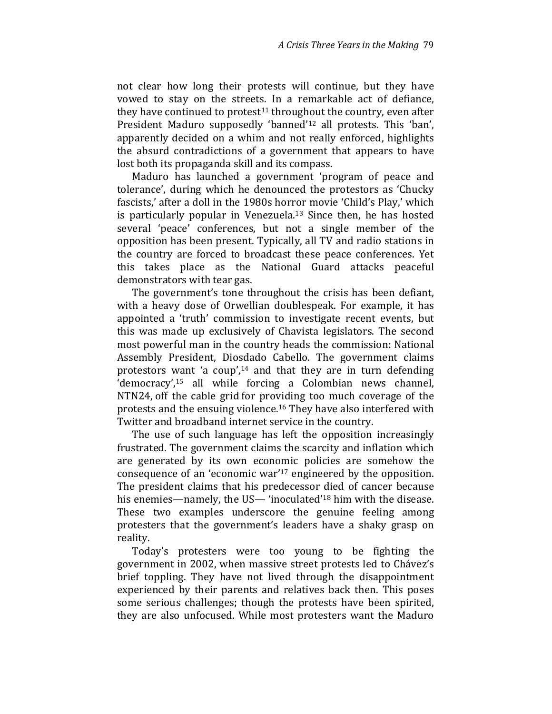not clear how long their protests will continue, but they have vowed to stay on the streets. In a remarkable act of defiance, they have continued to protest $11$  throughout the country, even after President Maduro supposedly 'banned'12 all protests. This 'ban', apparently decided on a whim and not really enforced, highlights the absurd contradictions of a government that appears to have lost both its propaganda skill and its compass.

Maduro has launched a government 'program of peace and tolerance', during which he denounced the protestors as 'Chucky fascists,' after a doll in the 1980s horror movie 'Child's Play,' which is particularly popular in Venezuela.13 Since then, he has hosted several 'peace' conferences, but not a single member of the opposition has been present. Typically, all TV and radio stations in the country are forced to broadcast these peace conferences. Yet this takes place as the National Guard attacks peaceful demonstrators with tear gas.

The government's tone throughout the crisis has been defiant, with a heavy dose of Orwellian doublespeak. For example, it has appointed a 'truth' commission to investigate recent events, but this was made up exclusively of Chavista legislators. The second most powerful man in the country heads the commission: National Assembly President, Diosdado Cabello. The government claims protestors want 'a coup',<sup>14</sup> and that they are in turn defending 'democracy',15 all while forcing a Colombian news channel, NTN24, off the cable grid for providing too much coverage of the protests and the ensuing violence.<sup>16</sup> They have also interfered with Twitter and broadband internet service in the country.

The use of such language has left the opposition increasingly frustrated. The government claims the scarcity and inflation which are generated by its own economic policies are somehow the consequence of an 'economic war'17 engineered by the opposition. The president claims that his predecessor died of cancer because his enemies—namely, the US— 'inoculated'18 him with the disease. These two examples underscore the genuine feeling among protesters that the government's leaders have a shaky grasp on reality.

Today's protesters were too young to be fighting the government in 2002, when massive street protests led to Chávez's brief toppling. They have not lived through the disappointment experienced by their parents and relatives back then. This poses some serious challenges; though the protests have been spirited, they are also unfocused. While most protesters want the Maduro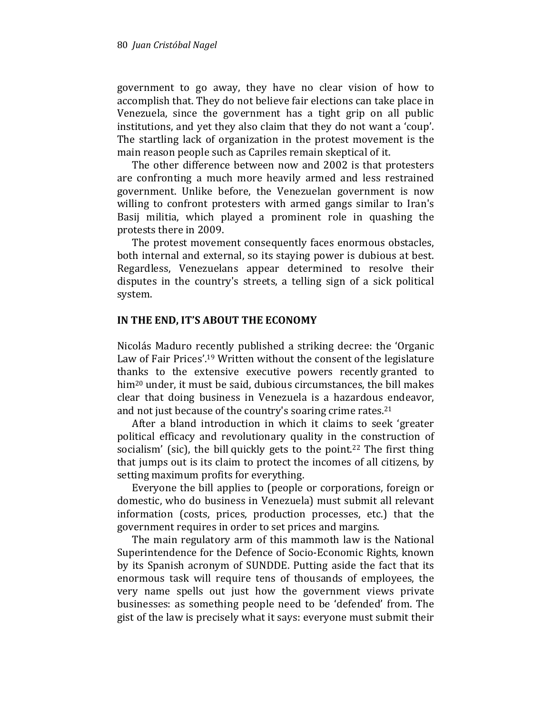government to go away, they have no clear vision of how to accomplish that. They do not believe fair elections can take place in Venezuela, since the government has a tight grip on all public institutions, and yet they also claim that they do not want a 'coup'. The startling lack of organization in the protest movement is the main reason people such as Capriles remain skeptical of it.

The other difference between now and 2002 is that protesters are confronting a much more heavily armed and less restrained government. Unlike before, the Venezuelan government is now willing to confront protesters with armed gangs similar to Iran's Basij militia, which played a prominent role in quashing the protests there in 2009.

The protest movement consequently faces enormous obstacles, both internal and external, so its staying power is dubious at best. Regardless, Venezuelans appear determined to resolve their disputes in the country's streets, a telling sign of a sick political system.

## IN THE END, IT'S ABOUT THE ECONOMY

Nicolás Maduro recently published a striking decree: the 'Organic Law of Fair Prices'.<sup>19</sup> Written without the consent of the legislature thanks to the extensive executive powers recently granted to him<sup>20</sup> under, it must be said, dubious circumstances, the bill makes clear that doing business in Venezuela is a hazardous endeavor, and not just because of the country's soaring crime rates.<sup>21</sup>

After a bland introduction in which it claims to seek 'greater political efficacy and revolutionary quality in the construction of socialism' (sic), the bill quickly gets to the point.<sup>22</sup> The first thing that jumps out is its claim to protect the incomes of all citizens, by setting maximum profits for everything.

Everyone the bill applies to (people or corporations, foreign or domestic, who do business in Venezuela) must submit all relevant information (costs, prices, production processes, etc.) that the government requires in order to set prices and margins.

The main regulatory arm of this mammoth law is the National Superintendence for the Defence of Socio-Economic Rights, known by its Spanish acronym of SUNDDE. Putting aside the fact that its enormous task will require tens of thousands of employees, the very name spells out just how the government views private businesses: as something people need to be 'defended' from. The gist of the law is precisely what it says: everyone must submit their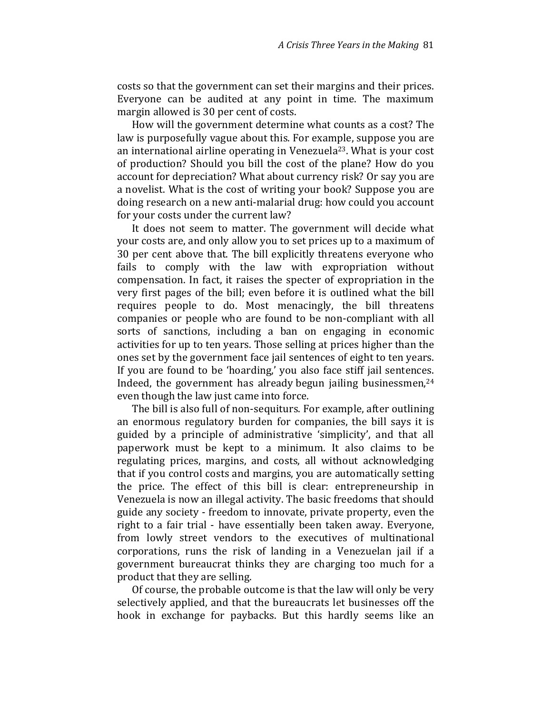costs so that the government can set their margins and their prices. Everyone can be audited at any point in time. The maximum margin allowed is 30 per cent of costs.

How will the government determine what counts as a cost? The law is purposefully vague about this. For example, suppose you are an international airline operating in Venezuela<sup>23</sup>. What is your cost of production? Should you bill the cost of the plane? How do you account for depreciation? What about currency risk? Or say you are a novelist. What is the cost of writing your book? Suppose you are doing research on a new anti-malarial drug: how could you account for your costs under the current law?

It does not seem to matter. The government will decide what your costs are, and only allow you to set prices up to a maximum of 30 per cent above that. The bill explicitly threatens everyone who fails to comply with the law with expropriation without compensation. In fact, it raises the specter of expropriation in the very first pages of the bill; even before it is outlined what the bill requires people to do. Most menacingly, the bill threatens companies or people who are found to be non-compliant with all sorts of sanctions, including a ban on engaging in economic activities for up to ten years. Those selling at prices higher than the ones set by the government face jail sentences of eight to ten years. If you are found to be 'hoarding,' you also face stiff jail sentences. Indeed, the government has already begun jailing businessmen, $24$ even though the law just came into force.

The bill is also full of non-sequiturs. For example, after outlining an enormous regulatory burden for companies, the bill says it is guided by a principle of administrative 'simplicity', and that all paperwork must be kept to a minimum. It also claims to be regulating prices, margins, and costs, all without acknowledging that if you control costs and margins, you are automatically setting the price. The effect of this bill is clear: entrepreneurship in Venezuela is now an illegal activity. The basic freedoms that should guide any society - freedom to innovate, private property, even the right to a fair trial - have essentially been taken away. Everyone, from lowly street vendors to the executives of multinational corporations, runs the risk of landing in a Venezuelan jail if a government bureaucrat thinks they are charging too much for a product that they are selling.

Of course, the probable outcome is that the law will only be very selectively applied, and that the bureaucrats let businesses off the hook in exchange for paybacks. But this hardly seems like an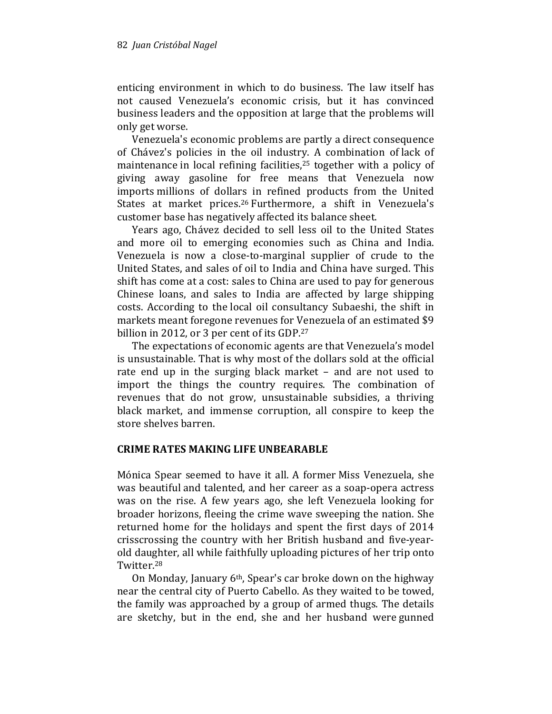enticing environment in which to do business. The law itself has not caused Venezuela's economic crisis, but it has convinced business leaders and the opposition at large that the problems will only get worse.

Venezuela's economic problems are partly a direct consequence of Chávez's policies in the oil industry. A combination of lack of maintenance in local refining facilities,<sup>25</sup> together with a policy of giving away gasoline for free means that Venezuela now imports millions of dollars in refined products from the United States at market prices.<sup>26</sup> Furthermore, a shift in Venezuela's customer base has negatively affected its balance sheet.

Years ago, Chávez decided to sell less oil to the United States and more oil to emerging economies such as China and India. Venezuela is now a close-to-marginal supplier of crude to the United States, and sales of oil to India and China have surged. This shift has come at a cost: sales to China are used to pay for generous Chinese loans, and sales to India are affected by large shipping costs. According to the local oil consultancy Subaeshi, the shift in markets meant foregone revenues for Venezuela of an estimated \$9 billion in 2012, or 3 per cent of its GDP.<sup>27</sup>

The expectations of economic agents are that Venezuela's model is unsustainable. That is why most of the dollars sold at the official rate end up in the surging black market – and are not used to import the things the country requires. The combination of revenues that do not grow, unsustainable subsidies, a thriving black market, and immense corruption, all conspire to keep the store shelves barren.

## CRIME RATES MAKING LIFE UNBEARABLE

Mónica Spear seemed to have it all. A former Miss Venezuela, she was beautiful and talented, and her career as a soap-opera actress was on the rise. A few years ago, she left Venezuela looking for broader horizons, fleeing the crime wave sweeping the nation. She returned home for the holidays and spent the first days of 2014 crisscrossing the country with her British husband and five-yearold daughter, all while faithfully uploading pictures of her trip onto Twitter.<sup>28</sup>

On Monday, January 6th, Spear's car broke down on the highway near the central city of Puerto Cabello. As they waited to be towed, the family was approached by a group of armed thugs. The details are sketchy, but in the end, she and her husband were gunned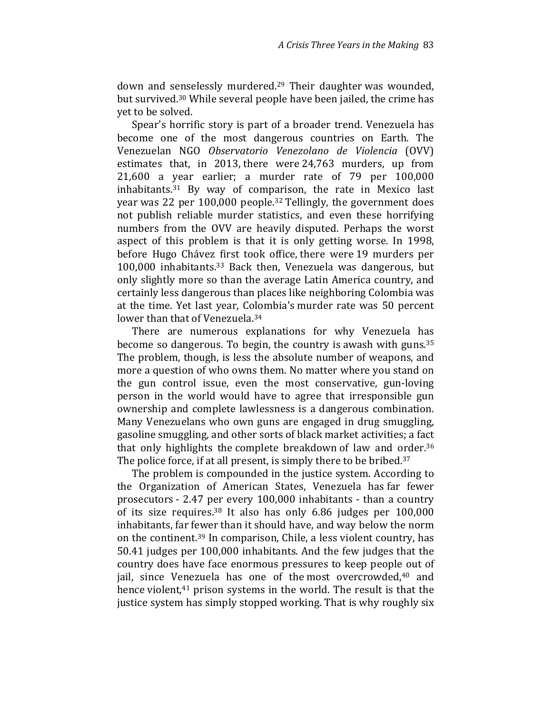down and senselessly murdered.<sup>29</sup> Their daughter was wounded, but survived.30 While several people have been jailed, the crime has yet to be solved.

Spear's horrific story is part of a broader trend. Venezuela has become one of the most dangerous countries on Earth. The Venezuelan NGO Observatorio Venezolano de Violencia (OVV) estimates that, in 2013, there were 24,763 murders, up from 21,600 a year earlier; a murder rate of 79 per 100,000 inhabitants.31 By way of comparison, the rate in Mexico last year was 22 per 100,000 people.32 Tellingly, the government does not publish reliable murder statistics, and even these horrifying numbers from the OVV are heavily disputed. Perhaps the worst aspect of this problem is that it is only getting worse. In 1998, before Hugo Chávez first took office, there were 19 murders per 100,000 inhabitants.33 Back then, Venezuela was dangerous, but only slightly more so than the average Latin America country, and certainly less dangerous than places like neighboring Colombia was at the time. Yet last year, Colombia's murder rate was 50 percent lower than that of Venezuela.<sup>34</sup>

There are numerous explanations for why Venezuela has become so dangerous. To begin, the country is awash with guns.<sup>35</sup> The problem, though, is less the absolute number of weapons, and more a question of who owns them. No matter where you stand on the gun control issue, even the most conservative, gun-loving person in the world would have to agree that irresponsible gun ownership and complete lawlessness is a dangerous combination. Many Venezuelans who own guns are engaged in drug smuggling, gasoline smuggling, and other sorts of black market activities; a fact that only highlights the complete breakdown of law and order.<sup>36</sup> The police force, if at all present, is simply there to be bribed.<sup>37</sup>

The problem is compounded in the justice system. According to the Organization of American States, Venezuela has far fewer prosecutors - 2.47 per every 100,000 inhabitants - than a country of its size requires.38 It also has only 6.86 judges per 100,000 inhabitants, far fewer than it should have, and way below the norm on the continent.39 In comparison, Chile, a less violent country, has 50.41 judges per 100,000 inhabitants. And the few judges that the country does have face enormous pressures to keep people out of jail, since Venezuela has one of the most overcrowded,<sup>40</sup> and hence violent,<sup>41</sup> prison systems in the world. The result is that the justice system has simply stopped working. That is why roughly six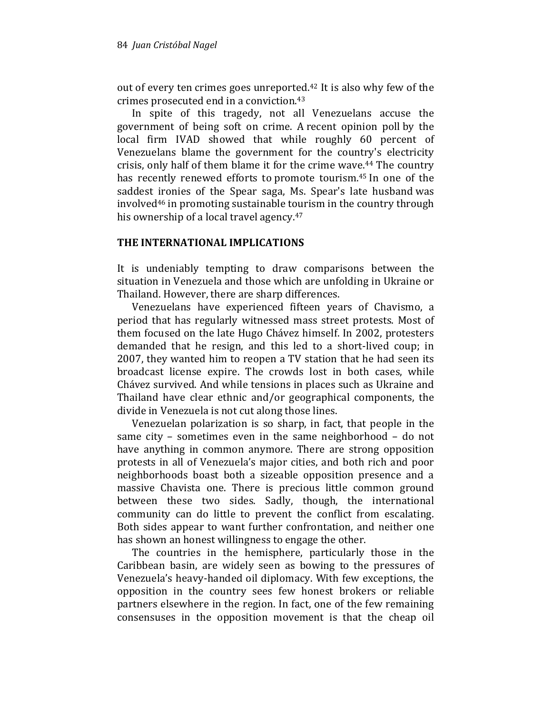out of every ten crimes goes unreported.42 It is also why few of the crimes prosecuted end in a conviction.<sup>43</sup>

In spite of this tragedy, not all Venezuelans accuse the government of being soft on crime. A recent opinion poll by the local firm IVAD showed that while roughly 60 percent of Venezuelans blame the government for the country's electricity crisis, only half of them blame it for the crime wave.44 The country has recently renewed efforts to promote tourism.45 In one of the saddest ironies of the Spear saga, Ms. Spear's late husband was involved46 in promoting sustainable tourism in the country through his ownership of a local travel agency.<sup>47</sup>

#### THE INTERNATIONAL IMPLICATIONS

It is undeniably tempting to draw comparisons between the situation in Venezuela and those which are unfolding in Ukraine or Thailand. However, there are sharp differences.

Venezuelans have experienced fifteen years of Chavismo, a period that has regularly witnessed mass street protests. Most of them focused on the late Hugo Chávez himself. In 2002, protesters demanded that he resign, and this led to a short-lived coup; in 2007, they wanted him to reopen a TV station that he had seen its broadcast license expire. The crowds lost in both cases, while Chávez survived. And while tensions in places such as Ukraine and Thailand have clear ethnic and/or geographical components, the divide in Venezuela is not cut along those lines.

Venezuelan polarization is so sharp, in fact, that people in the same city – sometimes even in the same neighborhood – do not have anything in common anymore. There are strong opposition protests in all of Venezuela's major cities, and both rich and poor neighborhoods boast both a sizeable opposition presence and a massive Chavista one. There is precious little common ground between these two sides. Sadly, though, the international community can do little to prevent the conflict from escalating. Both sides appear to want further confrontation, and neither one has shown an honest willingness to engage the other.

The countries in the hemisphere, particularly those in the Caribbean basin, are widely seen as bowing to the pressures of Venezuela's heavy-handed oil diplomacy. With few exceptions, the opposition in the country sees few honest brokers or reliable partners elsewhere in the region. In fact, one of the few remaining consensuses in the opposition movement is that the cheap oil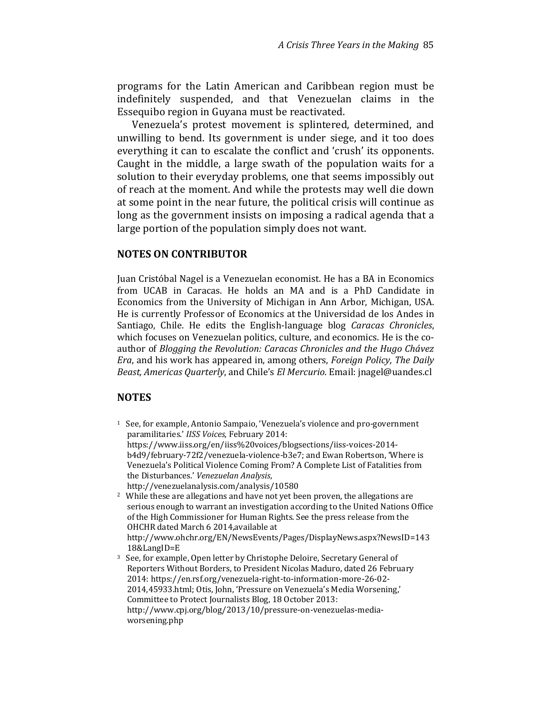programs for the Latin American and Caribbean region must be indefinitely suspended, and that Venezuelan claims in the Essequibo region in Guyana must be reactivated.

Venezuela's protest movement is splintered, determined, and unwilling to bend. Its government is under siege, and it too does everything it can to escalate the conflict and 'crush' its opponents. Caught in the middle, a large swath of the population waits for a solution to their everyday problems, one that seems impossibly out of reach at the moment. And while the protests may well die down at some point in the near future, the political crisis will continue as long as the government insists on imposing a radical agenda that a large portion of the population simply does not want.

#### NOTES ON CONTRIBUTOR

Juan Cristóbal Nagel is a Venezuelan economist. He has a BA in Economics from UCAB in Caracas. He holds an MA and is a PhD Candidate in Economics from the University of Michigan in Ann Arbor, Michigan, USA. He is currently Professor of Economics at the Universidad de los Andes in Santiago, Chile. He edits the English-language blog Caracas Chronicles, which focuses on Venezuelan politics, culture, and economics. He is the coauthor of Blogging the Revolution: Caracas Chronicles and the Hugo Chávez Era, and his work has appeared in, among others, Foreign Policy, The Daily Beast, Americas Quarterly, and Chile's El Mercurio. Email: jnagel@uandes.cl

#### NOTES

- <sup>1</sup> See, for example, Antonio Sampaio, 'Venezuela's violence and pro-government paramilitaries.' IISS Voices, February 2014: https://www.iiss.org/en/iiss%20voices/blogsections/iiss-voices-2014 b4d9/february-72f2/venezuela-violence-b3e7; and Ewan Robertson, 'Where is Venezuela's Political Violence Coming From? A Complete List of Fatalities from the Disturbances.' Venezuelan Analysis, http://venezuelanalysis.com/analysis/10580
- <sup>2</sup> While these are allegations and have not yet been proven, the allegations are serious enough to warrant an investigation according to the United Nations Office of the High Commissioner for Human Rights. See the press release from the OHCHR dated March 6 2014,available at http://www.ohchr.org/EN/NewsEvents/Pages/DisplayNews.aspx?NewsID=143

18&LangID=E

<sup>3</sup> See, for example, Open letter by Christophe Deloire, Secretary General of Reporters Without Borders, to President Nicolas Maduro, dated 26 February 2014: https://en.rsf.org/venezuela-right-to-information-more-26-02- 2014,45933.html; Otis, John, 'Pressure on Venezuela's Media Worsening,' Committee to Protect Journalists Blog, 18 October 2013: http://www.cpj.org/blog/2013/10/pressure-on-venezuelas-mediaworsening.php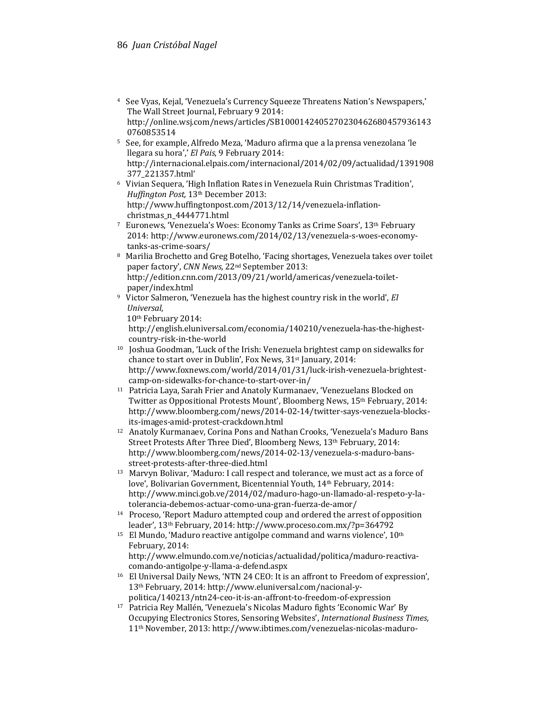- <sup>4</sup> See Vyas, Kejal, 'Venezuela's Currency Squeeze Threatens Nation's Newspapers,' The Wall Street Journal, February 9 2014: http://online.wsj.com/news/articles/SB1000142405270230462680457936143 0760853514
- <sup>5</sup> See, for example, Alfredo Meza, 'Maduro afirma que a la prensa venezolana 'le llegara su hora',' El Pais, 9 February 2014: http://internacional.elpais.com/internacional/2014/02/09/actualidad/1391908 377\_221357.html'
- <sup>6</sup> Vivian Sequera, 'High Inflation Rates in Venezuela Ruin Christmas Tradition', Huffington Post, 13th December 2013: http://www.huffingtonpost.com/2013/12/14/venezuela-inflationchristmas\_n\_4444771.html
- <sup>7</sup> Euronews, 'Venezuela's Woes: Economy Tanks as Crime Soars', 13th February 2014: http://www.euronews.com/2014/02/13/venezuela-s-woes-economytanks-as-crime-soars/
- <sup>8</sup> Marilia Brochetto and Greg Botelho, 'Facing shortages, Venezuela takes over toilet paper factory', CNN News, 22nd September 2013: http://edition.cnn.com/2013/09/21/world/americas/venezuela-toiletpaper/index.html
- <sup>9</sup> Victor Salmeron, 'Venezuela has the highest country risk in the world', El Universal,
	- 10th February 2014:

 http://english.eluniversal.com/economia/140210/venezuela-has-the-highest country-risk-in-the-world

- <sup>10</sup> Joshua Goodman, 'Luck of the Irish: Venezuela brightest camp on sidewalks for chance to start over in Dublin', Fox News, 31<sup>st</sup> January, 2014: http://www.foxnews.com/world/2014/01/31/luck-irish-venezuela-brightest camp-on-sidewalks-for-chance-to-start-over-in/
- <sup>11</sup> Patricia Laya, Sarah Frier and Anatoly Kurmanaev, 'Venezuelans Blocked on Twitter as Oppositional Protests Mount', Bloomberg News, 15<sup>th</sup> February, 2014: http://www.bloomberg.com/news/2014-02-14/twitter-says-venezuela-blocks its-images-amid-protest-crackdown.html
- <sup>12</sup> Anatoly Kurmanaev, Corina Pons and Nathan Crooks, 'Venezuela's Maduro Bans Street Protests After Three Died', Bloomberg News, 13th February, 2014: http://www.bloomberg.com/news/2014-02-13/venezuela-s-maduro-bans street-protests-after-three-died.html
- <sup>13</sup> Marvyn Bolivar, 'Maduro: I call respect and tolerance, we must act as a force of love', Bolivarian Government, Bicentennial Youth, 14<sup>th</sup> February, 2014: http://www.minci.gob.ve/2014/02/maduro-hago-un-llamado-al-respeto-y-la tolerancia-debemos-actuar-como-una-gran-fuerza-de-amor/
- <sup>14</sup> Proceso, 'Report Maduro attempted coup and ordered the arrest of opposition leader', 13th February, 2014: http://www.proceso.com.mx/?p=364792
- $15$  El Mundo, 'Maduro reactive antigolpe command and warns violence',  $10<sup>th</sup>$ February, 2014:

 http://www.elmundo.com.ve/noticias/actualidad/politica/maduro-reactiva comando-antigolpe-y-llama-a-defend.aspx

- <sup>16</sup> El Universal Daily News, 'NTN 24 CEO: It is an affront to Freedom of expression', 13th February, 2014: http://www.eluniversal.com/nacional-y politica/140213/ntn24-ceo-it-is-an-affront-to-freedom-of-expression
- <sup>17</sup> Patricia Rey Mallén, 'Venezuela's Nicolas Maduro fights 'Economic War' By Occupying Electronics Stores, Sensoring Websites', International Business Times, 11th November, 2013: http://www.ibtimes.com/venezuelas-nicolas-maduro-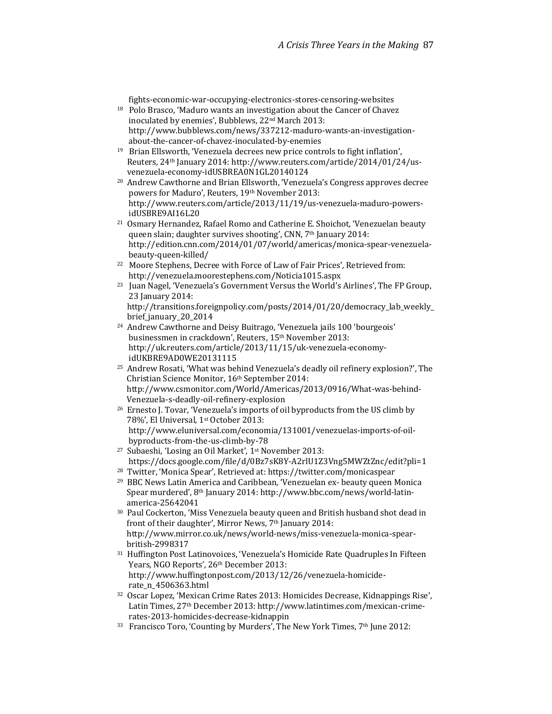fights-economic-war-occupying-electronics-stores-censoring-websites

- <sup>18</sup> Polo Brasco, 'Maduro wants an investigation about the Cancer of Chavez inoculated by enemies', Bubblews, 22nd March 2013: http://www.bubblews.com/news/337212-maduro-wants-an-investigation about-the-cancer-of-chavez-inoculated-by-enemies
- <sup>19</sup> Brian Ellsworth, 'Venezuela decrees new price controls to fight inflation', Reuters, 24th January 2014: http://www.reuters.com/article/2014/01/24/usvenezuela-economy-idUSBREA0N1GL20140124
- <sup>20</sup> Andrew Cawthorne and Brian Ellsworth, 'Venezuela's Congress approves decree powers for Maduro', Reuters, 19th November 2013: http://www.reuters.com/article/2013/11/19/us-venezuela-maduro-powers idUSBRE9AI16L20
- <sup>21</sup> Osmary Hernandez, Rafael Romo and Catherine E. Shoichot, 'Venezuelan beauty queen slain; daughter survives shooting', CNN, 7<sup>th</sup> January 2014: http://edition.cnn.com/2014/01/07/world/americas/monica-spear-venezuela beauty-queen-killed/
- <sup>22</sup> Moore Stephens, Decree with Force of Law of Fair Prices', Retrieved from: http://venezuela.moorestephens.com/Noticia1015.aspx
- <sup>23</sup> Juan Nagel, 'Venezuela's Government Versus the World's Airlines', The FP Group, 23 January 2014:

http://transitions.foreignpolicy.com/posts/2014/01/20/democracy\_lab\_weekly\_ brief\_january\_20\_2014

- <sup>24</sup> Andrew Cawthorne and Deisy Buitrago, 'Venezuela jails 100 'bourgeois' businessmen in crackdown', Reuters, 15<sup>th</sup> November 2013: http://uk.reuters.com/article/2013/11/15/uk-venezuela-economy idUKBRE9AD0WE20131115
- <sup>25</sup> Andrew Rosati, 'What was behind Venezuela's deadly oil refinery explosion?', The Christian Science Monitor, 16th September 2014: http://www.csmonitor.com/World/Americas/2013/0916/What-was-behind- Venezuela-s-deadly-oil-refinery-explosion
- <sup>26</sup> Ernesto J. Tovar, 'Venezuela's imports of oil byproducts from the US climb by 78%', El Universal, 1st October 2013: http://www.eluniversal.com/economia/131001/venezuelas-imports-of-oil byproducts-from-the-us-climb-by-78
- <sup>27</sup> Subaeshi, 'Losing an Oil Market', 1<sup>st</sup> November 2013: https://docs.google.com/file/d/0Bz7sK8Y-A2rlU1Z3Vng5MWZtZnc/edit?pli=1
- <sup>28</sup> Twitter, 'Monica Spear', Retrieved at: https://twitter.com/monicaspear
- <sup>29</sup> BBC News Latin America and Caribbean, 'Venezuelan ex- beauty queen Monica Spear murdered', 8th January 2014: http://www.bbc.com/news/world-latin america-25642041
- <sup>30</sup> Paul Cockerton, 'Miss Venezuela beauty queen and British husband shot dead in front of their daughter', Mirror News, 7<sup>th</sup> January 2014: http://www.mirror.co.uk/news/world-news/miss-venezuela-monica-spear british-2998317
- <sup>31</sup> Huffington Post Latinovoices, 'Venezuela's Homicide Rate Quadruples In Fifteen Years, NGO Reports', 26<sup>th</sup> December 2013: http://www.huffingtonpost.com/2013/12/26/venezuela-homicide rate\_n\_4506363.html
- <sup>32</sup> Oscar Lopez, 'Mexican Crime Rates 2013: Homicides Decrease, Kidnappings Rise', Latin Times, 27th December 2013: http://www.latintimes.com/mexican-crime rates-2013-homicides-decrease-kidnappin
- <sup>33</sup> Francisco Toro, 'Counting by Murders', The New York Times, 7<sup>th</sup> June 2012: